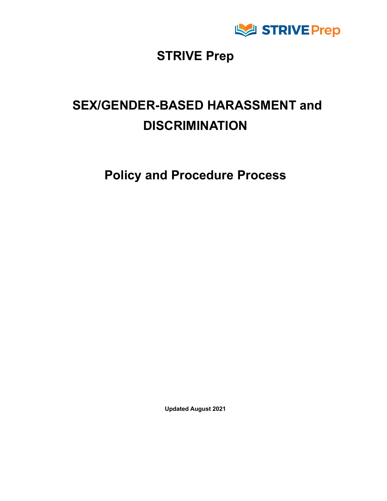

# **STRIVE Prep**

# **SEX/GENDER-BASED HARASSMENT and DISCRIMINATION**

**Policy and Procedure Process**

**Updated August 2021**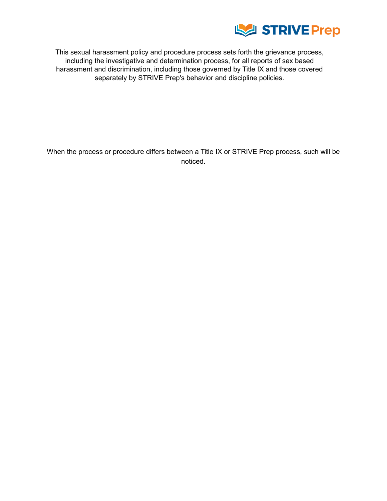

This sexual harassment policy and procedure process sets forth the grievance process, including the investigative and determination process, for all reports of sex based harassment and discrimination, including those governed by Title IX and those covered separately by STRIVE Prep's behavior and discipline policies.

When the process or procedure differs between a Title IX or STRIVE Prep process, such will be noticed.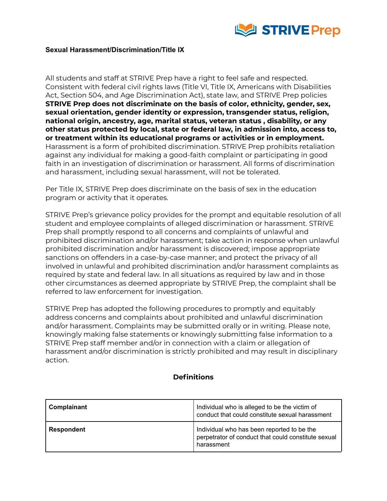

#### **Sexual Harassment/Discrimination/Title IX**

All students and staff at STRIVE Prep have a right to feel safe and respected. Consistent with federal civil rights laws (Title VI, Title IX, Americans with Disabilities Act, Section 504, and Age Discrimination Act), state law, and STRIVE Prep policies **STRIVE Prep does not discriminate on the basis of color, ethnicity, gender, sex, sexual orientation, gender identity or expression, transgender status, religion, national origin, ancestry, age, marital status, veteran status , disability, or any other status protected by local, state or federal law, in admission into, access to, or treatment within its educational programs or activities or in employment.** Harassment is a form of prohibited discrimination. STRIVE Prep prohibits retaliation against any individual for making a good-faith complaint or participating in good faith in an investigation of discrimination or harassment. All forms of discrimination and harassment, including sexual harassment, will not be tolerated.

Per Title IX, STRIVE Prep does discriminate on the basis of sex in the education program or activity that it operates.

STRIVE Prep's grievance policy provides for the prompt and equitable resolution of all student and employee complaints of alleged discrimination or harassment. STRIVE Prep shall promptly respond to all concerns and complaints of unlawful and prohibited discrimination and/or harassment; take action in response when unlawful prohibited discrimination and/or harassment is discovered; impose appropriate sanctions on offenders in a case-by-case manner; and protect the privacy of all involved in unlawful and prohibited discrimination and/or harassment complaints as required by state and federal law. In all situations as required by law and in those other circumstances as deemed appropriate by STRIVE Prep, the complaint shall be referred to law enforcement for investigation.

STRIVE Prep has adopted the following procedures to promptly and equitably address concerns and complaints about prohibited and unlawful discrimination and/or harassment. Complaints may be submitted orally or in writing. Please note, knowingly making false statements or knowingly submitting false information to a STRIVE Prep staff member and/or in connection with a claim or allegation of harassment and/or discrimination is strictly prohibited and may result in disciplinary action.

## **Definitions**

| Complainant       | Individual who is alleged to be the victim of<br>conduct that could constitute sexual harassment                |
|-------------------|-----------------------------------------------------------------------------------------------------------------|
| <b>Respondent</b> | Individual who has been reported to be the<br>perpetrator of conduct that could constitute sexual<br>harassment |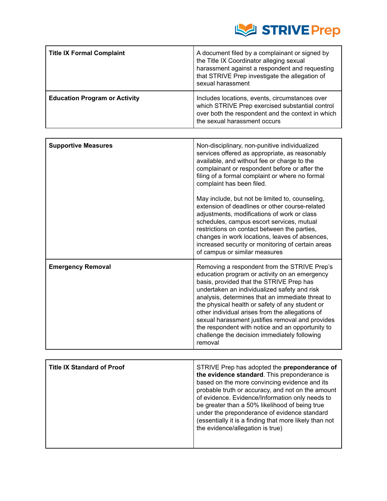

| <b>Title IX Formal Complaint</b>     | A document filed by a complainant or signed by<br>the Title IX Coordinator alleging sexual<br>harassment against a respondent and requesting<br>that STRIVE Prep investigate the allegation of<br>sexual harassment |
|--------------------------------------|---------------------------------------------------------------------------------------------------------------------------------------------------------------------------------------------------------------------|
| <b>Education Program or Activity</b> | Includes locations, events, circumstances over<br>which STRIVE Prep exercised substantial control<br>over both the respondent and the context in which<br>the sexual harassment occurs                              |

| <b>Supportive Measures</b> | Non-disciplinary, non-punitive individualized<br>services offered as appropriate, as reasonably<br>available, and without fee or charge to the<br>complainant or respondent before or after the<br>filing of a formal complaint or where no formal<br>complaint has been filed.<br>May include, but not be limited to, counseling,<br>extension of deadlines or other course-related<br>adjustments, modifications of work or class<br>schedules, campus escort services, mutual<br>restrictions on contact between the parties,<br>changes in work locations, leaves of absences,<br>increased security or monitoring of certain areas<br>of campus or similar measures |
|----------------------------|--------------------------------------------------------------------------------------------------------------------------------------------------------------------------------------------------------------------------------------------------------------------------------------------------------------------------------------------------------------------------------------------------------------------------------------------------------------------------------------------------------------------------------------------------------------------------------------------------------------------------------------------------------------------------|
| <b>Emergency Removal</b>   | Removing a respondent from the STRIVE Prep's<br>education program or activity on an emergency<br>basis, provided that the STRIVE Prep has<br>undertaken an individualized safety and risk<br>analysis, determines that an immediate threat to<br>the physical health or safety of any student or<br>other individual arises from the allegations of<br>sexual harassment justifies removal and provides<br>the respondent with notice and an opportunity to<br>challenge the decision immediately following<br>removal                                                                                                                                                   |

| the evidence standard. This preponderance is<br>based on the more convincing evidence and its<br>probable truth or accuracy, and not on the amount<br>of evidence. Evidence/Information only needs to<br>be greater than a 50% likelihood of being true<br>under the preponderance of evidence standard<br>(essentially it is a finding that more likely than not<br>the evidence/allegation is true) |
|-------------------------------------------------------------------------------------------------------------------------------------------------------------------------------------------------------------------------------------------------------------------------------------------------------------------------------------------------------------------------------------------------------|
|-------------------------------------------------------------------------------------------------------------------------------------------------------------------------------------------------------------------------------------------------------------------------------------------------------------------------------------------------------------------------------------------------------|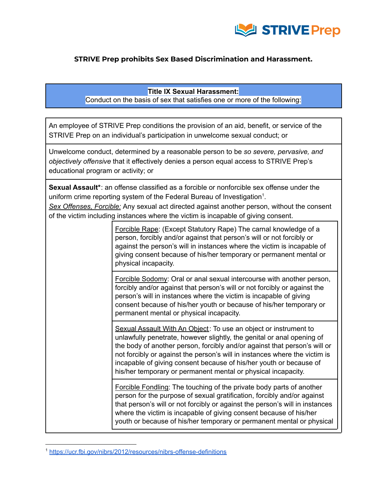

# **STRIVE Prep prohibits Sex Based Discrimination and Harassment.**

#### **Title IX Sexual Harassment:**

Conduct on the basis of sex that satisfies one or more of the following:

An employee of STRIVE Prep conditions the provision of an aid, benefit, or service of the STRIVE Prep on an individual's participation in unwelcome sexual conduct; or

Unwelcome conduct, determined by a reasonable person to be *so severe, pervasive, and objectively offensive* that it effectively denies a person equal access to STRIVE Prep's educational program or activity; or

**Sexual Assault\***: an offense classified as a forcible or nonforcible sex offense under the uniform crime reporting system of the Federal Bureau of Investigation $1$ .

*Sex Offenses, Forcible:* Any sexual act directed against another person, without the consent of the victim including instances where the victim is incapable of giving consent.

> Forcible Rape: (Except Statutory Rape) The carnal knowledge of a person, forcibly and/or against that person's will or not forcibly or against the person's will in instances where the victim is incapable of giving consent because of his/her temporary or permanent mental or physical incapacity.

Forcible Sodomy: Oral or anal sexual intercourse with another person, forcibly and/or against that person's will or not forcibly or against the person's will in instances where the victim is incapable of giving consent because of his/her youth or because of his/her temporary or permanent mental or physical incapacity.

Sexual Assault With An Object: To use an object or instrument to unlawfully penetrate, however slightly, the genital or anal opening of the body of another person, forcibly and/or against that person's will or not forcibly or against the person's will in instances where the victim is incapable of giving consent because of his/her youth or because of his/her temporary or permanent mental or physical incapacity.

Forcible Fondling: The touching of the private body parts of another person for the purpose of sexual gratification, forcibly and/or against that person's will or not forcibly or against the person's will in instances where the victim is incapable of giving consent because of his/her youth or because of his/her temporary or permanent mental or physical

<sup>1</sup> <https://ucr.fbi.gov/nibrs/2012/resources/nibrs-offense-definitions>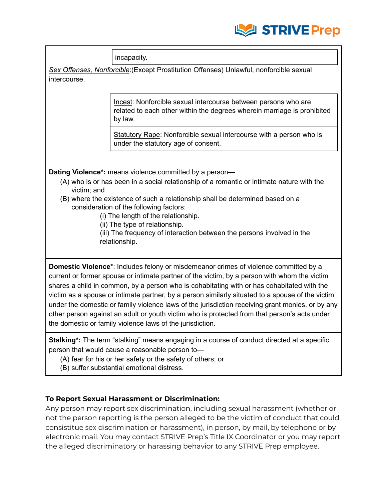

incapacity.

*Sex Offenses, Nonforcible*:(Except Prostitution Offenses) Unlawful, nonforcible sexual intercourse.

> Incest: Nonforcible sexual intercourse between persons who are related to each other within the degrees wherein marriage is prohibited by law.

Statutory Rape: Nonforcible sexual intercourse with a person who is under the statutory age of consent.

**Dating Violence\*:** means violence committed by a person—

- (A) who is or has been in a social relationship of a romantic or intimate nature with the victim; and
- (B) where the existence of such a relationship shall be determined based on a consideration of the following factors:
	- (i) The length of the relationship.
	- (ii) The type of relationship.

(iii) The frequency of interaction between the persons involved in the relationship.

**Domestic Violence\***: Includes felony or misdemeanor crimes of violence committed by a current or former spouse or intimate partner of the victim, by a person with whom the victim shares a child in common, by a person who is cohabitating with or has cohabitated with the victim as a spouse or intimate partner, by a person similarly situated to a spouse of the victim under the domestic or family violence laws of the jurisdiction receiving grant monies, or by any other person against an adult or youth victim who is protected from that person's acts under the domestic or family violence laws of the jurisdiction.

**Stalking\*:** The term "stalking" means engaging in a course of conduct directed at a specific person that would cause a reasonable person to—

- (A) fear for his or her safety or the safety of others; or
- (B) suffer substantial emotional distress.

#### **To Report Sexual Harassment or Discrimination:**

Any person may report sex discrimination, including sexual harassment (whether or not the person reporting is the person alleged to be the victim of conduct that could consistitue sex discrimination or harassment), in person, by mail, by telephone or by electronic mail. You may contact STRIVE Prep's Title IX Coordinator or you may report the alleged discriminatory or harassing behavior to any STRIVE Prep employee.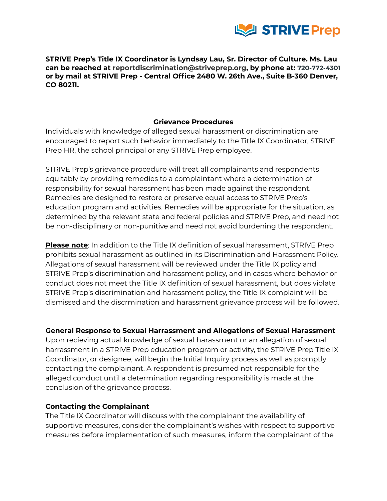

**STRIVE Prep's Title IX Coordinator is Lyndsay Lau, Sr. Director of Culture. Ms. Lau can be reached at reportdiscrimination@striveprep.org, by phone at: 720-772-4301 or by mail at STRIVE Prep - Central Office 2480 W. 26th Ave., Suite B-360 Denver, CO 80211.**

#### **Grievance Procedures**

Individuals with knowledge of alleged sexual harassment or discrimination are encouraged to report such behavior immediately to the Title IX Coordinator, STRIVE Prep HR, the school principal or any STRIVE Prep employee.

STRIVE Prep's grievance procedure will treat all complainants and respondents equitably by providing remedies to a complaintant where a determination of responsibility for sexual harassment has been made against the respondent. Remedies are designed to restore or preserve equal access to STRIVE Prep's education program and activities. Remedies will be appropriate for the situation, as determined by the relevant state and federal policies and STRIVE Prep, and need not be non-disciplinary or non-punitive and need not avoid burdening the respondent.

**Please note**: In addition to the Title IX definition of sexual harassment, STRIVE Prep prohibits sexual harassment as outlined in its Discrimination and Harassment Policy. Allegations of sexual harassment will be reviewed under the Title IX policy and STRIVE Prep's discrimination and harassment policy, and in cases where behavior or conduct does not meet the Title IX definition of sexual harassment, but does violate STRIVE Prep's discrimination and harassment policy, the Title IX complaint will be dismissed and the discrmination and harassment grievance process will be followed.

#### **General Response to Sexual Harrassment and Allegations of Sexual Harassment**

Upon recieving actual knowledge of sexual harassment or an allegation of sexual harrassment in a STRIVE Prep education program or activity, the STRIVE Prep Title IX Coordinator, or designee, will begin the Initial Inquiry process as well as promptly contacting the complainant. A respondent is presumed not responsible for the alleged conduct until a determination regarding responsibility is made at the conclusion of the grievance process.

#### **Contacting the Complainant**

The Title IX Coordinator will discuss with the complainant the availability of supportive measures, consider the complainant's wishes with respect to supportive measures before implementation of such measures, inform the complainant of the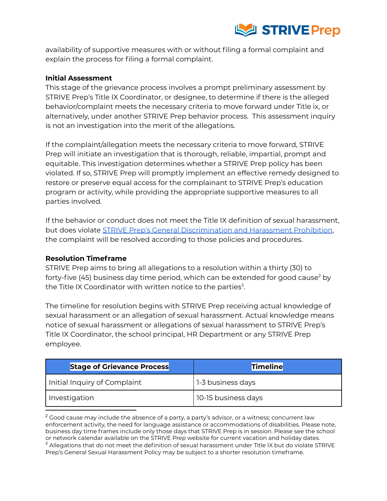

availability of supportive measures with or without filing a formal complaint and explain the process for filing a formal complaint.

#### **Initial Assessment**

This stage of the grievance process involves a prompt preliminary assessment by STRIVE Prep's Title IX Coordinator, or designee, to determine if there is the alleged behavior/complaint meets the necessary criteria to move forward under Title ix, or alternatively, under another STRIVE Prep behavior process. This assessment inquiry is not an investigation into the merit of the allegations.

If the complaint/allegation meets the necessary criteria to move forward, STRIVE Prep will initiate an investigation that is thorough, reliable, impartial, prompt and equitable. This investigation determines whether a STRIVE Prep policy has been violated. If so, STRIVE Prep will promptly implement an effective remedy designed to restore or preserve equal access for the complainant to STRIVE Prep's education program or activity, while providing the appropriate supportive measures to all parties involved.

If the behavior or conduct does not meet the Title IX definition of sexual harassment, but does violate STRIVE Prep's General [Discrimination](https://docs.google.com/document/d/1OT9ABC-GuuDFiAxsR98YFhYq5QOjSnA-q3jOjNR85TE/edit?usp=sharing) and Harassment Prohibition, the complaint will be resolved according to those policies and procedures.

#### **Resolution Timeframe**

STRIVE Prep aims to bring all allegations to a resolution within a thirty (30) to forty-five (45) business day time period, which can be extended for good cause $^{\text{2}}$  by the Title IX Coordinator with written notice to the parties $^3$ .

The timeline for resolution begins with STRIVE Prep receiving actual knowledge of sexual harassment or an allegation of sexual harassment. Actual knowledge means notice of sexual harassment or allegations of sexual harassment to STRIVE Prep's Title IX Coordinator, the school principal, HR Department or any STRIVE Prep employee.

| <b>Stage of Grievance Process</b> | Timeline            |
|-----------------------------------|---------------------|
| Initial Inquiry of Complaint      | 1-3 business days   |
| Investigation                     | 10-15 business days |

 $3$  Allegations that do not meet the definition of sexual harassment under Title IX but do violate STRIVE Prep's General Sexual Harassment Policy may be subject to a shorter resolution timeframe.  $2$  Good cause may include the absence of a party, a party's advisor, or a witness; concurrent law enforcement activity, the need for language assistance or accommodations of disabilities. Please note, business day time frames include only those days that STRIVE Prep is in session. Please see the school or network calendar available on the STRIVE Prep website for current vacation and holiday dates.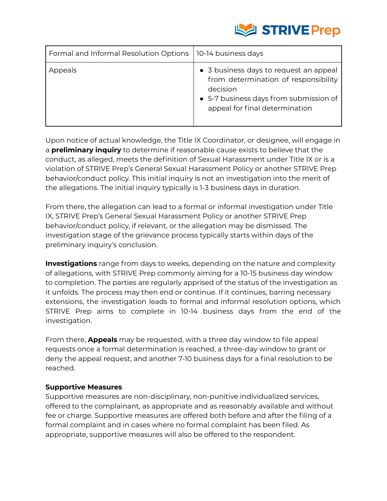

| Formal and Informal Resolution Options | 10-14 business days                                                                                                                                                    |
|----------------------------------------|------------------------------------------------------------------------------------------------------------------------------------------------------------------------|
| Appeals                                | • 3 business days to request an appeal<br>from determination of responsibility<br>decision<br>• 5-7 business days from submission of<br>appeal for final determination |

Upon notice of actual knowledge, the Title IX Coordinator, or designee, will engage in a **preliminary inquiry** to determine if reasonable cause exists to believe that the conduct, as alleged, meets the definition of Sexual Harassment under Title IX or is a violation of STRIVE Prep's General Sexual Harassment Policy or another STRIVE Prep behavior/conduct policy. This initial inquiry is not an investigation into the merit of the allegations. The initial inquiry typically is 1-3 business days in duration.

From there, the allegation can lead to a formal or informal investigation under Title IX, STRIVE Prep's General Sexual Harassment Policy or another STRIVE Prep behavior/conduct policy, if relevant, or the allegation may be dismissed. The investigation stage of the grievance process typically starts within days of the preliminary inquiry's conclusion.

**Investigations** range from days to weeks, depending on the nature and complexity of allegations, with STRIVE Prep commonly aiming for a 10-15 business day window to completion. The parties are regularly apprised of the status of the investigation as it unfolds. The process may then end or continue. If it continues, barring necessary extensions, the investigation leads to formal and informal resolution options, which STRIVE Prep aims to complete in 10-14 business days from the end of the investigation.

From there, **Appeals** may be requested, with a three day window to file appeal requests once a formal determination is reached, a three-day window to grant or deny the appeal request, and another 7-10 business days for a final resolution to be reached.

#### **Supportive Measures**

Supportive measures are non-disciplinary, non-punitive individualized services, offered to the complainant, as appropriate and as reasonably available and without fee or charge. Supportive measures are offered both before and after the filing of a formal complaint and in cases where no formal complaint has been filed. As appropriate, supportive measures will also be offered to the respondent.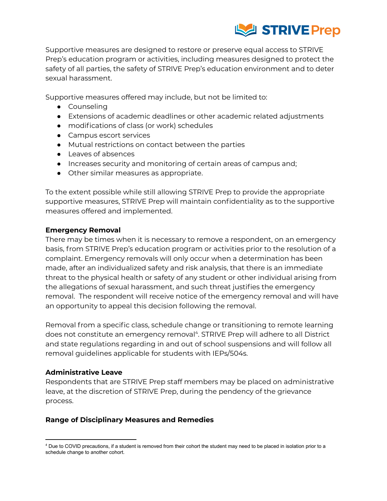

Supportive measures are designed to restore or preserve equal access to STRIVE Prep's education program or activities, including measures designed to protect the safety of all parties, the safety of STRIVE Prep's education environment and to deter sexual harassment.

Supportive measures offered may include, but not be limited to:

- Counseling
- Extensions of academic deadlines or other academic related adjustments
- modifications of class (or work) schedules
- Campus escort services
- Mutual restrictions on contact between the parties
- Leaves of absences
- Increases security and monitoring of certain areas of campus and;
- Other similar measures as appropriate.

To the extent possible while still allowing STRIVE Prep to provide the appropriate supportive measures, STRIVE Prep will maintain confidentiality as to the supportive measures offered and implemented.

#### **Emergency Removal**

There may be times when it is necessary to remove a respondent, on an emergency basis, from STRIVE Prep's education program or activities prior to the resolution of a complaint. Emergency removals will only occur when a determination has been made, after an individualized safety and risk analysis, that there is an immediate threat to the physical health or safety of any student or other individual arising from the allegations of sexual harassment, and such threat justifies the emergency removal. The respondent will receive notice of the emergency removal and will have an opportunity to appeal this decision following the removal.

Removal from a specific class, schedule change or transitioning to remote learning does not constitute an emergency removal<sup>4</sup>. STRIVE Prep will adhere to all District and state regulations regarding in and out of school suspensions and will follow all removal guidelines applicable for students with IEPs/504s.

#### **Administrative Leave**

Respondents that are STRIVE Prep staff members may be placed on administrative leave, at the discretion of STRIVE Prep, during the pendency of the grievance process.

#### **Range of Disciplinary Measures and Remedies**

<sup>4</sup> Due to COVID precautions, if a student is removed from their cohort the student may need to be placed in isolation prior to a schedule change to another cohort.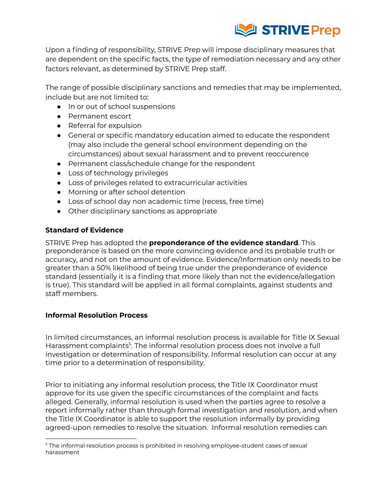

Upon a finding of responsibility, STRIVE Prep will impose disciplinary measures that are dependent on the specific facts, the type of remediation necessary and any other factors relevant, as determined by STRIVE Prep staff.

The range of possible disciplinary sanctions and remedies that may be implemented, include but are not limited to:

- In or out of school suspensions
- Permanent escort
- Referral for expulsion
- General or specific mandatory education aimed to educate the respondent (may also include the general school environment depending on the circumstances) about sexual harassment and to prevent reoccurence
- Permanent class/schedule change for the respondent
- Loss of technology privileges
- Loss of privileges related to extracurricular activities
- Morning or after school detention
- Loss of school day non academic time (recess, free time)
- Other disciplinary sanctions as appropriate

# **Standard of Evidence**

STRIVE Prep has adopted the **preponderance of the evidence standard**. This preponderance is based on the more convincing evidence and its probable truth or accuracy, and not on the amount of evidence. Evidence/Information only needs to be greater than a 50% likelihood of being true under the preponderance of evidence standard (essentially it is a finding that more likely than not the evidence/allegation is true). This standard will be applied in all formal complaints, against students and staff members.

# **Informal Resolution Process**

In limited circumstances, an informal resolution process is available for Title IX Sexual Harassment complaints<sup>5</sup>. The informal resolution process does not involve a full investigation or determination of responsibility. Informal resolution can occur at any time prior to a determination of responsibility.

Prior to initiating any informal resolution process, the Title IX Coordinator must approve for its use given the specific circumstances of the complaint and facts alleged. Generally, informal resolution is used when the parties agree to resolve a report informally rather than through formal investigation and resolution, and when the Title IX Coordinator is able to support the resolution informally by providing agreed-upon remedies to resolve the situation. Informal resolution remedies can

<sup>&</sup>lt;sup>5</sup> The informal resolution process is prohibited in resolving employee-student cases of sexual harassment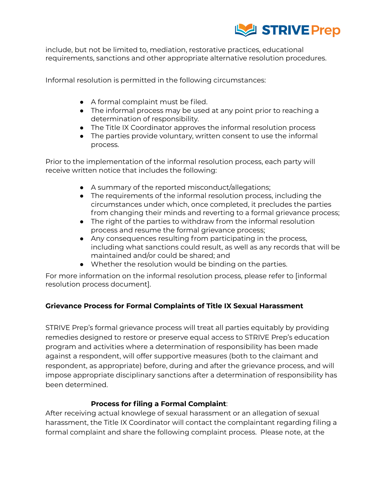

include, but not be limited to, mediation, restorative practices, educational requirements, sanctions and other appropriate alternative resolution procedures.

Informal resolution is permitted in the following circumstances:

- A formal complaint must be filed.
- The informal process may be used at any point prior to reaching a determination of responsibility.
- The Title IX Coordinator approves the informal resolution process
- The parties provide voluntary, written consent to use the informal process.

Prior to the implementation of the informal resolution process, each party will receive written notice that includes the following:

- A summary of the reported misconduct/allegations;
- The requirements of the informal resolution process, including the circumstances under which, once completed, it precludes the parties from changing their minds and reverting to a formal grievance process;
- The right of the parties to withdraw from the informal resolution process and resume the formal grievance process;
- Any consequences resulting from participating in the process, including what sanctions could result, as well as any records that will be maintained and/or could be shared; and
- Whether the resolution would be binding on the parties.

For more information on the informal resolution process, please refer to [informal resolution process document].

# **Grievance Process for Formal Complaints of Title IX Sexual Harassment**

STRIVE Prep's formal grievance process will treat all parties equitably by providing remedies designed to restore or preserve equal access to STRIVE Prep's education program and activities where a determination of responsibility has been made against a respondent, will offer supportive measures (both to the claimant and respondent, as appropriate) before, during and after the grievance process, and will impose appropriate disciplinary sanctions after a determination of responsibility has been determined.

# **Process for filing a Formal Complaint**:

After receiving actual knowlege of sexual harassment or an allegation of sexual harassment, the Title IX Coordinator will contact the complaintant regarding filing a formal complaint and share the following complaint process. Please note, at the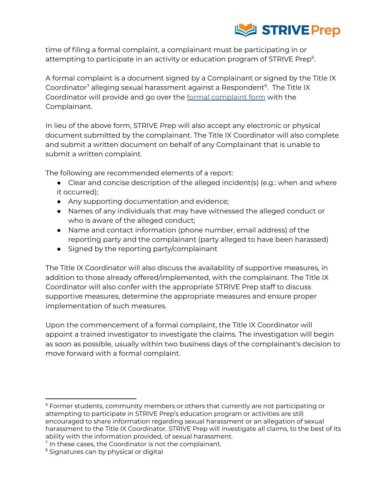

time of filing a formal complaint, a complainant must be participating in or attempting to participate in an activity or education program of STRIVE Prep $\rm ^6$ .

A formal complaint is a document signed by a Complainant or signed by the Title IX Coordinator<sup>7</sup> alleging sexual harassment against a Respondent<sup>8</sup>. The Title IX Coordinator will provide and go over the formal [complaint](https://docs.google.com/document/d/1P49VliGw1MLW3Ex5RIWdxZHqxoL4MiJR1L5vFJfdKEg/edit) form with the Complainant.

In lieu of the above form, STRIVE Prep will also accept any electronic or physical document submitted by the complainant. The Title IX Coordinator will also complete and submit a written document on behalf of any Complainant that is unable to submit a written complaint.

The following are recommended elements of a report:

- Clear and concise description of the alleged incident(s) (e.g.: when and where it occurred);
- Any supporting documentation and evidence;
- Names of any individuals that may have witnessed the alleged conduct or who is aware of the alleged conduct;
- Name and contact information (phone number, email address) of the reporting party and the complainant (party alleged to have been harassed)
- Signed by the reporting party/complainant

The Title IX Coordinator will also discuss the availability of supportive measures, in addition to those already offered/implemented, with the complainant. The Title IX Coordinator will also confer with the appropriate STRIVE Prep staff to discuss supportive measures, determine the appropriate measures and ensure proper implementation of such measures.

Upon the commencement of a formal complaint, the Title IX Coordinator will appoint a trained investigator to investigate the claims. The investigation will begin as soon as possible, usually within two business days of the complainant's decision to move forward with a formal complaint.

<sup>&</sup>lt;sup>6</sup> Former students, community members or others that currently are not participating or attempting to participate in STRIVE Prep's education program or activities are still encouraged to share information regarding sexual harassment or an allegation of sexual harassment to the Title IX Coordinator. STRIVE Prep will investigate all claims, to the best of its ability with the information provided, of sexual harassment.

 $7$  In these cases, the Coordinator is not the complainant.

<sup>&</sup>lt;sup>8</sup> Signatures can by physical or digital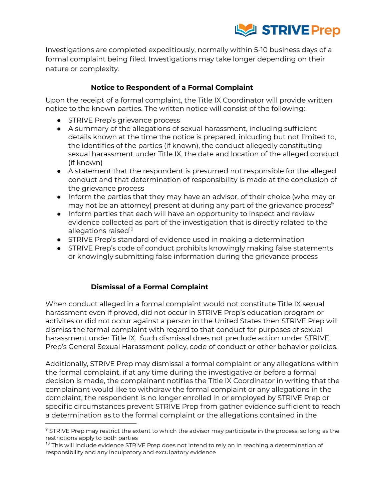

Investigations are completed expeditiously, normally within 5-10 business days of a formal complaint being filed. Investigations may take longer depending on their nature or complexity.

# **Notice to Respondent of a Formal Complaint**

Upon the receipt of a formal complaint, the Title IX Coordinator will provide written notice to the known parties. The written notice will consist of the following:

- STRIVE Prep's grievance process
- A summary of the allegations of sexual harassment, including sufficient details known at the time the notice is prepared, inlcuding but not limited to, the identifies of the parties (if known), the conduct allegedly constituting sexual harassment under Title IX, the date and location of the alleged conduct (if known)
- A statement that the respondent is presumed not responsible for the alleged conduct and that determination of responsibility is made at the conclusion of the grievance process
- Inform the parties that they may have an advisor, of their choice (who may or may not be an attorney) present at during any part of the grievance process 9
- Inform parties that each will have an opportunity to inspect and review evidence collected as part of the investigation that is directly related to the allegations raised 10
- STRIVE Prep's standard of evidence used in making a determination
- STRIVE Prep's code of conduct prohibits knowingly making false statements or knowingly submitting false information during the grievance process

# **Dismissal of a Formal Complaint**

When conduct alleged in a formal complaint would not constitute Title IX sexual harassment even if proved, did not occur in STRIVE Prep's education program or activites or did not occur against a person in the United States then STRIVE Prep will dismiss the formal complaint with regard to that conduct for purposes of sexual harassment under Title IX. Such dismissal does not preclude action under STRIVE Prep's General Sexual Harassment policy, code of conduct or other behavior policies.

Additionally, STRIVE Prep may dismissal a formal complaint or any allegations within the formal complaint, if at any time during the investigative or before a formal decision is made, the complainant notifies the Title IX Coordinator in writing that the complainant would like to withdraw the formal complaint or any allegations in the complaint, the respondent is no longer enrolled in or employed by STRIVE Prep or specific circumstances prevent STRIVE Prep from gather evidence sufficient to reach a determination as to the formal complaint or the allegations contained in the

 $9$  STRIVE Prep may restrict the extent to which the advisor may participate in the process, so long as the restrictions apply to both parties

 $10$  This will include evidence STRIVE Prep does not intend to rely on in reaching a determination of responsibility and any inculpatory and exculpatory evidence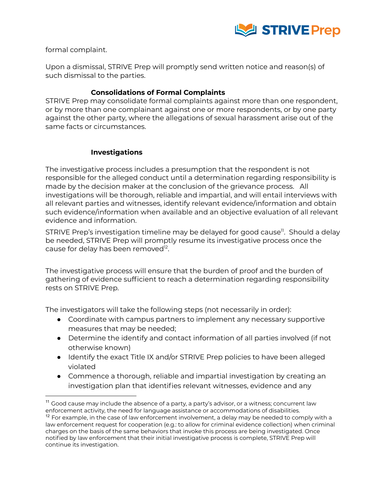

formal complaint.

Upon a dismissal, STRIVE Prep will promptly send written notice and reason(s) of such dismissal to the parties.

## **Consolidations of Formal Complaints**

STRIVE Prep may consolidate formal complaints against more than one respondent, or by more than one complainant against one or more respondents, or by one party against the other party, where the allegations of sexual harassment arise out of the same facts or circumstances.

#### **Investigations**

The investigative process includes a presumption that the respondent is not responsible for the alleged conduct until a determination regarding responsibility is made by the decision maker at the conclusion of the grievance process. All investigations will be thorough, reliable and impartial, and will entail interviews with all relevant parties and witnesses, identify relevant evidence/information and obtain such evidence/information when available and an objective evaluation of all relevant evidence and information.

STRIVE Prep's investigation timeline may be delayed for good cause<sup>11</sup>. Should a delay be needed, STRIVE Prep will promptly resume its investigative process once the cause for delay has been removed<sup>12</sup>.

The investigative process will ensure that the burden of proof and the burden of gathering of evidence sufficient to reach a determination regarding responsibility rests on STRIVE Prep.

The investigators will take the following steps (not necessarily in order):

- Coordinate with campus partners to implement any necessary supportive measures that may be needed;
- Determine the identify and contact information of all parties involved (if not otherwise known)
- Identify the exact Title IX and/or STRIVE Prep policies to have been alleged violated
- Commence a thorough, reliable and impartial investigation by creating an investigation plan that identifies relevant witnesses, evidence and any

 $11$  Good cause may include the absence of a party, a party's advisor, or a witness; concurrent law enforcement activity, the need for language assistance or accommodations of disabilities.

 $12$  For example, in the case of law enforcement involvement, a delay may be needed to comply with a law enforcement request for cooperation (e.g.: to allow for criminal evidence collection) when criminal charges on the basis of the same behaviors that invoke this process are being investigated. Once notified by law enforcement that their initial investigative process is complete, STRIVE Prep will continue its investigation.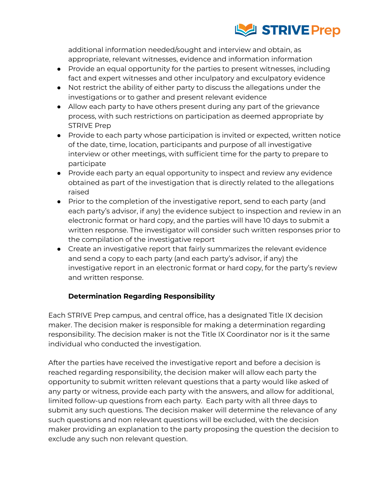

additional information needed/sought and interview and obtain, as appropriate, relevant witnesses, evidence and information information

- Provide an equal opportunity for the parties to present witnesses, including fact and expert witnesses and other inculpatory and exculpatory evidence
- Not restrict the ability of either party to discuss the allegations under the investigations or to gather and present relevant evidence
- Allow each party to have others present during any part of the grievance process, with such restrictions on participation as deemed appropriate by STRIVE Prep
- Provide to each party whose participation is invited or expected, written notice of the date, time, location, participants and purpose of all investigative interview or other meetings, with sufficient time for the party to prepare to participate
- Provide each party an equal opportunity to inspect and review any evidence obtained as part of the investigation that is directly related to the allegations raised
- Prior to the completion of the investigative report, send to each party (and each party's advisor, if any) the evidence subject to inspection and review in an electronic format or hard copy, and the parties will have 10 days to submit a written response. The investigator will consider such written responses prior to the compilation of the investigative report
- Create an investigative report that fairly summarizes the relevant evidence and send a copy to each party (and each party's advisor, if any) the investigative report in an electronic format or hard copy, for the party's review and written response.

# **Determination Regarding Responsibility**

Each STRIVE Prep campus, and central office, has a designated Title IX decision maker. The decision maker is responsible for making a determination regarding responsibility. The decision maker is not the Title IX Coordinator nor is it the same individual who conducted the investigation.

After the parties have received the investigative report and before a decision is reached regarding responsibility, the decision maker will allow each party the opportunity to submit written relevant questions that a party would like asked of any party or witness, provide each party with the answers, and allow for additional, limited follow-up questions from each party. Each party with all three days to submit any such questions. The decision maker will determine the relevance of any such questions and non relevant questions will be excluded, with the decision maker providing an explanation to the party proposing the question the decision to exclude any such non relevant question.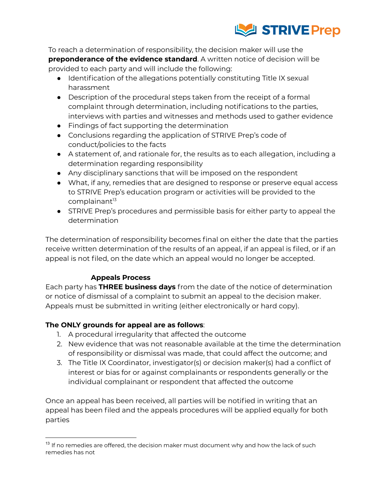

To reach a determination of responsibility, the decision maker will use the **preponderance of the evidence standard**. A written notice of decision will be provided to each party and will include the following:

- Identification of the allegations potentially constituting Title IX sexual harassment
- Description of the procedural steps taken from the receipt of a formal complaint through determination, including notifications to the parties, interviews with parties and witnesses and methods used to gather evidence
- Findings of fact supporting the determination
- Conclusions regarding the application of STRIVE Prep's code of conduct/policies to the facts
- A statement of, and rationale for, the results as to each allegation, including a determination regarding responsibility
- Any disciplinary sanctions that will be imposed on the respondent
- What, if any, remedies that are designed to response or preserve equal access to STRIVE Prep's education program or activities will be provided to the complainant 13
- STRIVE Prep's procedures and permissible basis for either party to appeal the determination

The determination of responsibility becomes final on either the date that the parties receive written determination of the results of an appeal, if an appeal is filed, or if an appeal is not filed, on the date which an appeal would no longer be accepted.

# **Appeals Process**

Each party has **THREE business days** from the date of the notice of determination or notice of dismissal of a complaint to submit an appeal to the decision maker. Appeals must be submitted in writing (either electronically or hard copy).

# **The ONLY grounds for appeal are as follows**:

- 1. A procedural irregularity that affected the outcome
- 2. New evidence that was not reasonable available at the time the determination of responsibility or dismissal was made, that could affect the outcome; and
- 3. The Title IX Coordinator, investigator(s) or decision maker(s) had a conflict of interest or bias for or against complainants or respondents generally or the individual complainant or respondent that affected the outcome

Once an appeal has been received, all parties will be notified in writing that an appeal has been filed and the appeals procedures will be applied equally for both parties

 $13$  If no remedies are offered, the decision maker must document why and how the lack of such remedies has not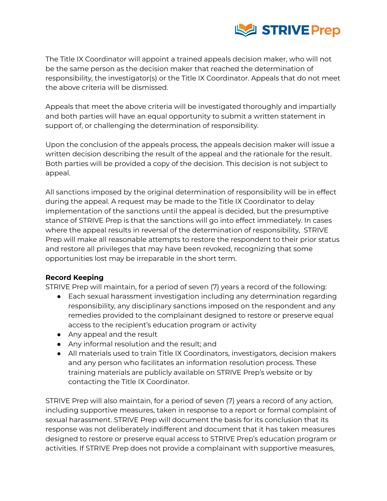

The Title IX Coordinator will appoint a trained appeals decision maker, who will not be the same person as the decision maker that reached the determination of responsibility, the investigator(s) or the Title IX Coordinator. Appeals that do not meet the above criteria will be dismissed.

Appeals that meet the above criteria will be investigated thoroughly and impartially and both parties will have an equal opportunity to submit a written statement in support of, or challenging the determination of responsibility.

Upon the conclusion of the appeals process, the appeals decision maker will issue a written decision describing the result of the appeal and the rationale for the result. Both parties will be provided a copy of the decision. This decision is not subject to appeal.

All sanctions imposed by the original determination of responsibility will be in effect during the appeal. A request may be made to the Title IX Coordinator to delay implementation of the sanctions until the appeal is decided, but the presumptive stance of STRIVE Prep is that the sanctions will go into effect immediately. In cases where the appeal results in reversal of the determination of responsibility, STRIVE Prep will make all reasonable attempts to restore the respondent to their prior status and restore all privileges that may have been revoked, recognizing that some opportunities lost may be irreparable in the short term.

#### **Record Keeping**

STRIVE Prep will maintain, for a period of seven (7) years a record of the following:

- Each sexual harassment investigation including any determination regarding responsibility, any disciplinary sanctions imposed on the respondent and any remedies provided to the complainant designed to restore or preserve equal access to the recipient's education program or activity
- Any appeal and the result
- Any informal resolution and the result; and
- All materials used to train Title IX Coordinators, investigators, decision makers and any person who facilitates an information resolution process. These training materials are publicly available on STRIVE Prep's website or by contacting the Title IX Coordinator.

STRIVE Prep will also maintain, for a period of seven (7) years a record of any action, including supportive measures, taken in response to a report or formal complaint of sexual harassment. STRIVE Prep will document the basis for its conclusion that its response was not deliberately indifferent and document that it has taken measures designed to restore or preserve equal access to STRIVE Prep's education program or activities. If STRIVE Prep does not provide a complainant with supportive measures,